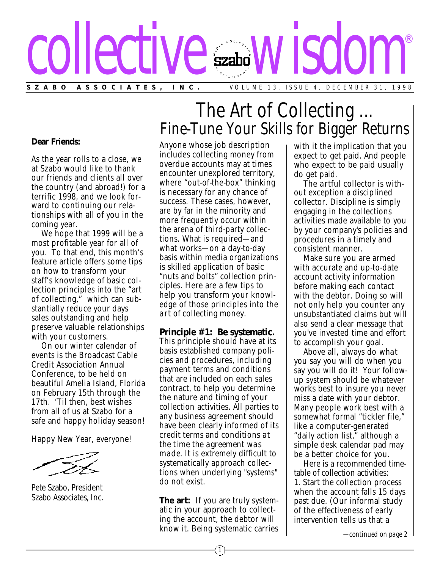# **SZABO ASSOCIATES, INC.** VOLUME 13, ISSUE 4, DECEMBER 31, 1998 collective wisdom ®

#### **Dear Friends:**

As the year rolls to a close, we at Szabo would like to thank our friends and clients all over the country (and abroad!) for a terrific 1998, and we look forward to continuing our relationships with all of you in the coming year.

We hope that 1999 will be a most profitable year for all of you. To that end, this month's feature article offers some tips on how to transform your staff's knowledge of basic collection principles into the "art of collecting," which can substantially reduce your days sales outstanding and help preserve valuable relationships with your customers.

On our winter calendar of events is the Broadcast Cable Credit Association Annual Conference, to be held on beautiful Amelia Island, Florida on February 15th through the 17th. 'Til then, best wishes from all of us at Szabo for a safe and happy holiday season!

Happy New Year, everyone!

Pete Szabo, President Szabo Associates, Inc.

## The Art of Collecting ... Fine-Tune Your Skills for Bigger Returns

Anyone whose job description includes collecting money from overdue accounts may at times encounter unexplored territory, where "out-of-the-box" thinking is necessary for any chance of success. These cases, however, are by far in the minority and more frequently occur within the arena of third-party collections. What is required—and what *works*—on a day-to-day basis within media organizations is skilled application of basic "nuts and bolts" collection principles. Here are a few tips to help you transform your knowledge of those principles into the *art* of collecting money.

**Principle #1: Be systematic.** This principle should have at its basis established company policies and procedures, including payment terms and conditions that are included on each sales contract, to help you determine the nature and timing of your collection activities. All parties to any business agreement should have been clearly informed of its credit terms and conditions *at the time the agreement was made.* It is extremely difficult to systematically approach collections when underlying "systems" do not exist.

**The art:** If you are truly systematic in your approach to collecting the account, the debtor will know it. Being systematic carries with it the implication that you expect to get paid. And people who expect to be paid usually *do* get paid.

The *artful* collector is without exception a disciplined collector. Discipline is simply engaging in the collections activities made available to you by your company's policies and procedures in a timely and consistent manner.

Make sure you are armed with accurate and up-to-date account activity information before making each contact with the debtor. Doing so will not only help you counter any unsubstantiated claims but will also send a clear message that you've invested time and effort to accomplish your goal.

Above all, always do *what* you say you will do *when* you say you will do it! Your followup system should be whatever works best to insure you never miss a date with your debtor. Many people work best with a somewhat formal "tickler file," like a computer-generated "daily action list," although a simple desk calendar pad may be a better choice for you.

Here is a recommended timetable of collection activities: 1. Start the collection process when the account falls 15 days past due. (Our informal study of the effectiveness of early intervention tells us that a

*—continued on page 2*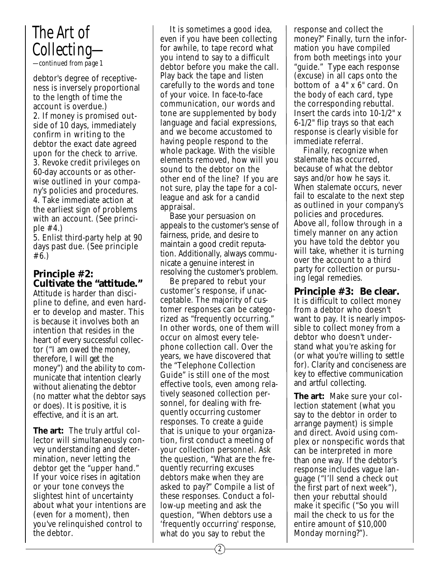### *The Art of Collecting— —continued from page 1*

debtor's degree of receptiveness is inversely proportional to the length of time the account is overdue.) 2. If money is promised outside of 10 days, immediately confirm *in writing* to the debtor the exact date agreed upon for the check to arrive. 3. Revoke credit privileges on 60-day accounts or as otherwise outlined in your company's policies and procedures. 4. Take immediate action at the earliest sign of problems with an account. (See principle #4.)

5. Enlist third-party help at 90 days past due. (See principle #6.)

**Principle #2: Cultivate the "attitude."**  Attitude is harder than discipline to define, and even harder to develop and master. This is because it involves both an intention that resides in the heart of every successful collector ("I am *owed* the money, therefore, I will *get* the money") and the ability to communicate that intention clearly without alienating the debtor (no matter what the debtor says or does). It is positive, it is effective, and it is an art.

**The art:** The truly artful collector will simultaneously convey understanding and determination, never letting the debtor get the "upper hand." If your voice rises in agitation or your tone conveys the slightest hint of uncertainty about what your intentions are (even for a moment), then you've relinquished control to the debtor.

It is sometimes a good idea, even if you have been collecting for awhile, to tape record what you intend to say to a difficult debtor before you make the call. Play back the tape and listen carefully to the words and tone of your voice. In face-to-face communication, our words and tone are supplemented by body language and facial expressions, and we become accustomed to having people respond to the whole package. With the visible elements removed, how will you sound to the debtor on the other end of the line? If you are not sure, play the tape for a colleague and ask for a candid appraisal.

Base your persuasion on appeals to the customer's sense of fairness, pride, and desire to maintain a good credit reputation. Additionally, always communicate a genuine interest in resolving the customer's problem.

Be prepared to rebut your customer's response, if unacceptable. The majority of customer responses can be categorized as "frequently occurring." In other words, one of them will occur on almost every telephone collection call. Over the years, we have discovered that the "Telephone Collection Guide" is still one of the most effective tools, even among relatively seasoned collection personnel, for dealing with frequently occurring customer responses. To create a guide that is unique to your organization, first conduct a meeting of your collection personnel. Ask the question, "What are the frequently recurring excuses debtors make when they are asked to pay?" Compile a list of these responses. Conduct a follow-up meeting and ask the question, "When debtors use a 'frequently occurring' response, what do you say to rebut the

response and collect the money?" Finally, turn the information you have compiled from both meetings into your "guide." Type each response (excuse) in all caps onto the bottom of a 4" x 6" card. On the body of each card, type the corresponding rebuttal. Insert the cards into 10-1/2" x 6-1/2" flip trays so that each response is clearly visible for immediate referral.

Finally, recognize when stalemate has occurred, because of what the debtor says and/or how he says it. When stalemate occurs, never fail to escalate to the next step as outlined in your company's policies and procedures. Above all, follow through in a timely manner on any action you have told the debtor you will take, whether it is turning over the account to a third party for collection or pursuing legal remedies.

**Principle #3: Be clear.** It is difficult to collect money from a debtor who doesn't want to pay. It is nearly impossible to collect money from a debtor who doesn't understand what you're asking for (or what you're willing to *settle* for). Clarity and conciseness are key to effective communication and artful collecting.

**The art:** Make sure your collection statement (what you say to the debtor in order to arrange payment) is simple and direct. Avoid using complex or nonspecific words that can be interpreted in more than one way. If the debtor's response includes vague language ("I'll send a check out the first part of next week"), then your rebuttal should make it specific ("So you will mail the check to us for the entire amount of \$10,000 Monday morning?").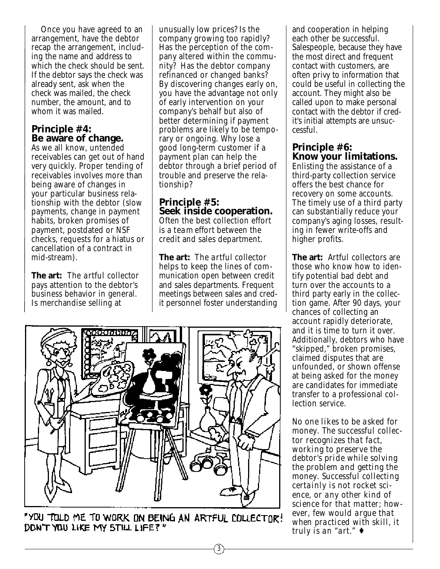Once you have agreed to an arrangement, have the debtor recap the arrangement, including the name and address to which the check should be sent. If the debtor says the check was already sent, ask when the check was mailed, the check number, the amount, and to whom it was mailed.

#### **Principle #4: Be aware of change.**

As we all know, untended receivables can get out of hand very quickly. Proper tending of receivables involves more than being aware of changes in your particular business relationship with the debtor (slow payments, change in payment habits, broken promises of payment, postdated or NSF checks, requests for a hiatus or cancellation of a contract in mid-stream).

**The art:** The *artful* collector pays attention to the debtor's business behavior in general. Is merchandise selling at

unusually low prices? Is the company growing too rapidly? Has the perception of the company altered within the community? Has the debtor company refinanced or changed banks? By discovering changes early on, you have the advantage not only of early intervention on your company's behalf but also of better determining if payment problems are likely to be temporary or ongoing. Why lose a good long-term customer if a payment plan can help the debtor through a brief period of trouble and preserve the relationship?

#### **Principle #5: Seek inside cooperation.** Often the best collection effort is a *team* effort between the credit and sales department.

**The art:** The *artful* collector helps to keep the lines of communication open between credit and sales departments. Frequent meetings between sales and credit personnel foster understanding



"YOU TOLD ME TO WORK ON BEING AN ARTFUL COLLECTOR! DON'T YOU LIKE MY 5TILL LIFE?"

and cooperation in helping each other be successful. Salespeople, because they have the most direct and frequent contact with customers, are often privy to information that could be useful in collecting the account. They might also be called upon to make personal contact with the debtor if credit's initial attempts are unsuccessful.

#### **Principle #6: Know your limitations.**

Enlisting the assistance of a third-party collection service offers the best chance for recovery on some accounts. The timely use of a third party can substantially reduce your company's aging losses, resulting in fewer write-offs and higher profits.

**The art:** *Artful* collectors are those who know how to identify potential bad debt and turn over the accounts to a third party early in the collection game. After 90 days, your chances of collecting an account rapidly deteriorate, and it is time to turn it over. Additionally, debtors who have "skipped," broken promises, claimed disputes that are unfounded, or shown offense at being asked for the money are candidates for immediate transfer to a professional collection service.

*No one likes to be asked for money. The successful collector recognizes that fact, working to preserve the debtor's pride while solving the problem and getting the money. Successful collecting certainly is not rocket science, or any other kind of science for that matter; however, few would argue that when practiced with skill, it truly is an "art."* ♦